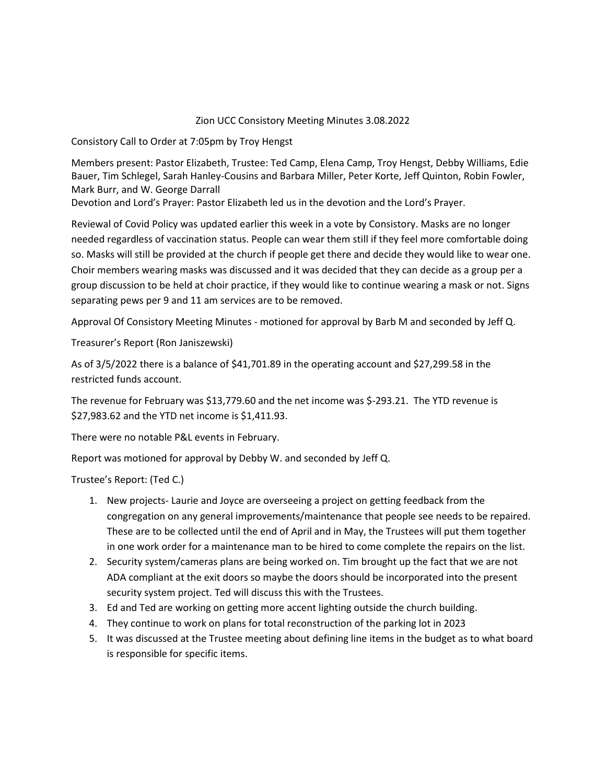## Zion UCC Consistory Meeting Minutes 3.08.2022

Consistory Call to Order at 7:05pm by Troy Hengst

Members present: Pastor Elizabeth, Trustee: Ted Camp, Elena Camp, Troy Hengst, Debby Williams, Edie Bauer, Tim Schlegel, Sarah Hanley-Cousins and Barbara Miller, Peter Korte, Jeff Quinton, Robin Fowler, Mark Burr, and W. George Darrall

Devotion and Lord's Prayer: Pastor Elizabeth led us in the devotion and the Lord's Prayer.

Reviewal of Covid Policy was updated earlier this week in a vote by Consistory. Masks are no longer needed regardless of vaccination status. People can wear them still if they feel more comfortable doing so. Masks will still be provided at the church if people get there and decide they would like to wear one. Choir members wearing masks was discussed and it was decided that they can decide as a group per a group discussion to be held at choir practice, if they would like to continue wearing a mask or not. Signs separating pews per 9 and 11 am services are to be removed.

Approval Of Consistory Meeting Minutes - motioned for approval by Barb M and seconded by Jeff Q.

Treasurer's Report (Ron Janiszewski)

As of 3/5/2022 there is a balance of \$41,701.89 in the operating account and \$27,299.58 in the restricted funds account.

The revenue for February was \$13,779.60 and the net income was \$-293.21. The YTD revenue is \$27,983.62 and the YTD net income is \$1,411.93.

There were no notable P&L events in February.

Report was motioned for approval by Debby W. and seconded by Jeff Q.

Trustee's Report: (Ted C.)

- 1. New projects- Laurie and Joyce are overseeing a project on getting feedback from the congregation on any general improvements/maintenance that people see needs to be repaired. These are to be collected until the end of April and in May, the Trustees will put them together in one work order for a maintenance man to be hired to come complete the repairs on the list.
- 2. Security system/cameras plans are being worked on. Tim brought up the fact that we are not ADA compliant at the exit doors so maybe the doors should be incorporated into the present security system project. Ted will discuss this with the Trustees.
- 3. Ed and Ted are working on getting more accent lighting outside the church building.
- 4. They continue to work on plans for total reconstruction of the parking lot in 2023
- 5. It was discussed at the Trustee meeting about defining line items in the budget as to what board is responsible for specific items.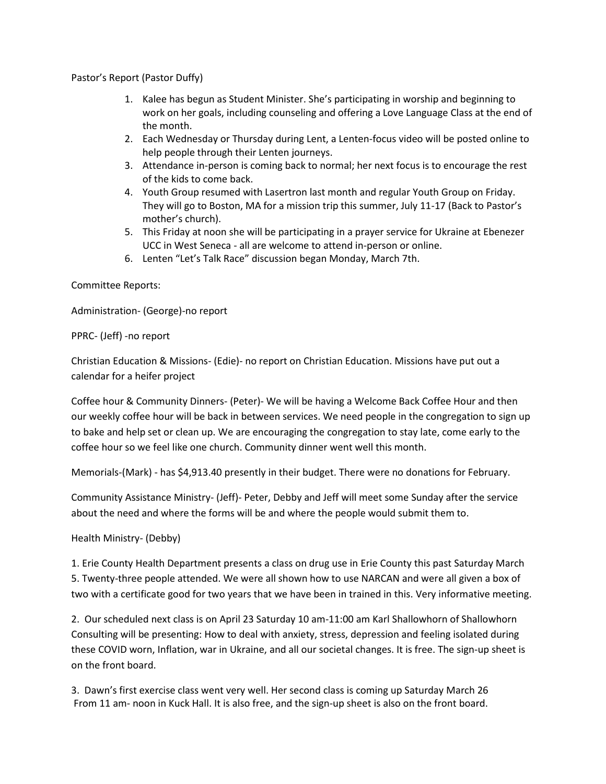Pastor's Report (Pastor Duffy)

- 1. Kalee has begun as Student Minister. She's participating in worship and beginning to work on her goals, including counseling and offering a Love Language Class at the end of the month.
- 2. Each Wednesday or Thursday during Lent, a Lenten-focus video will be posted online to help people through their Lenten journeys.
- 3. Attendance in-person is coming back to normal; her next focus is to encourage the rest of the kids to come back.
- 4. Youth Group resumed with Lasertron last month and regular Youth Group on Friday. They will go to Boston, MA for a mission trip this summer, July 11-17 (Back to Pastor's mother's church).
- 5. This Friday at noon she will be participating in a prayer service for Ukraine at Ebenezer UCC in West Seneca - all are welcome to attend in-person or online.
- 6. Lenten "Let's Talk Race" discussion began Monday, March 7th.

Committee Reports:

Administration- (George)-no report

PPRC- (Jeff) -no report

Christian Education & Missions- (Edie)- no report on Christian Education. Missions have put out a calendar for a heifer project

Coffee hour & Community Dinners- (Peter)- We will be having a Welcome Back Coffee Hour and then our weekly coffee hour will be back in between services. We need people in the congregation to sign up to bake and help set or clean up. We are encouraging the congregation to stay late, come early to the coffee hour so we feel like one church. Community dinner went well this month.

Memorials-(Mark) - has \$4,913.40 presently in their budget. There were no donations for February.

Community Assistance Ministry- (Jeff)- Peter, Debby and Jeff will meet some Sunday after the service about the need and where the forms will be and where the people would submit them to.

Health Ministry- (Debby)

1. Erie County Health Department presents a class on drug use in Erie County this past Saturday March 5. Twenty-three people attended. We were all shown how to use NARCAN and were all given a box of two with a certificate good for two years that we have been in trained in this. Very informative meeting.

2. Our scheduled next class is on April 23 Saturday 10 am-11:00 am Karl Shallowhorn of Shallowhorn Consulting will be presenting: How to deal with anxiety, stress, depression and feeling isolated during these COVID worn, Inflation, war in Ukraine, and all our societal changes. It is free. The sign-up sheet is on the front board.

3. Dawn's first exercise class went very well. Her second class is coming up Saturday March 26 From 11 am- noon in Kuck Hall. It is also free, and the sign-up sheet is also on the front board.